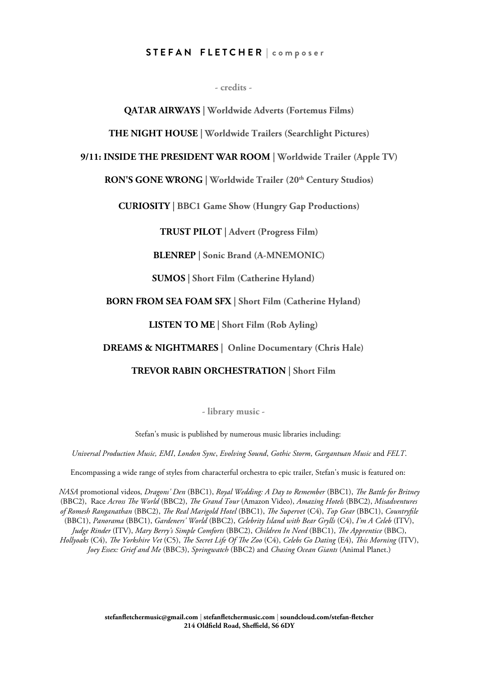## **S T E F A N F L E T C H E R | c o m p o s e r**

**- credits -**

**QATAR AIRWAYS | Worldwide Adverts (Fortemus Films)**

**THE NIGHT HOUSE | Worldwide Trailers (Searchlight Pictures)**

#### **9/11: INSIDE THE PRESIDENT WAR ROOM | Worldwide Trailer (Apple TV)**

# **RON'S GONE WRONG | Worldwide Trailer (20th Century Studios)**

**CURIOSITY | BBC1 Game Show (Hungry Gap Productions)**

**TRUST PILOT | Advert (Progress Film)**

**BLENREP | Sonic Brand (A-MNEMONIC)**

**SUMOS | Short Film (Catherine Hyland)**

## **BORN FROM SEA FOAM SFX | Short Film (Catherine Hyland)**

**LISTEN TO ME | Short Film (Rob Ayling)**

## **DREAMS & NIGHTMARES | Online Documentary (Chris Hale)**

# **TREVOR RABIN ORCHESTRATION | Short Film**

**- library music -**

Stefan's music is published by numerous music libraries including:

*Universal Production Music, EMI*, *London Sync*, *Evolving Sound*, *Gothic Storm*, *Gargantuan Music* and *FELT*.

Encompassing a wide range of styles from characterful orchestra to epic trailer, Stefan's music is featured on:

*NASA* promotional videos, *Dragons' Den* (BBC1), *Royal Wedding: A Day to Remember* (BBC1), *Te Battle for Britney* (BBC2), Race *Across Te World* (BBC2), *Te Grand Tour* (Amazon Video), *Amazing Hotels* (BBC2), *Misadventures of Romesh Ranganathan* (BBC2), *Te Real Marigold Hotel* (BBC1), *Te Supervet* (C4), *Top Gear* (BBC1), *Countryfle* (BBC1), *Panorama* (BBC1), *Gardeners' World* (BBC2), *Celebrity Island with Bear Grylls* (C4), *I'm A Celeb* (ITV), *Judge Rinder* (ITV), *Mary Berry's Simple Comforts* (BBC2), *Children In Need* (BBC1), *Te Apprentice* (BBC), *Hollyoaks* (C4), *Te Yorkshire Vet* (C5), *Te Secret Life Of Te Zoo* (C4), *Celebs Go Dating* (E4), *Tis Morning* (ITV), *Joey Essex: Grief and Me* (BBC3), *Springwatch* (BBC2) and *Chasing Ocean Giants* (Animal Planet.)

> **[stefanfetchermusic@gmail.com](mailto:stefanfletchermusic@gmail.com) | [stefanfetchermusic.com](file:///Users/stefanfletcher/Desktop/Stef) | [soundcloud.com/stefan-fetcher](file:///Users/stefanfletcher/Desktop/Stef)** 214 Oldfield Road, Sheffield, S6 6DY